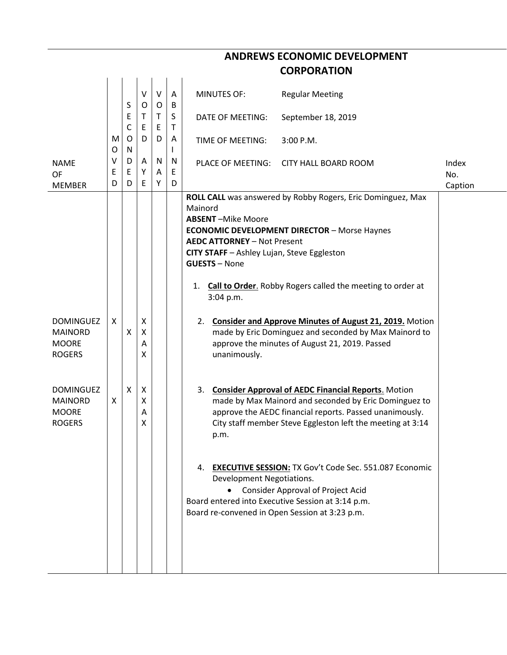|                                                                     |             |              |                  |             |                       | <b>CORPORATION</b>                                                                                                                                                                                                                                                                                                                                            |              |
|---------------------------------------------------------------------|-------------|--------------|------------------|-------------|-----------------------|---------------------------------------------------------------------------------------------------------------------------------------------------------------------------------------------------------------------------------------------------------------------------------------------------------------------------------------------------------------|--------------|
|                                                                     |             |              | ٧                | V           | A                     | <b>MINUTES OF:</b><br><b>Regular Meeting</b>                                                                                                                                                                                                                                                                                                                  |              |
|                                                                     |             | S<br>E<br>C  | O<br>Τ<br>E      | O<br>Τ<br>E | B<br>S<br>$\mathsf T$ | September 18, 2019<br>DATE OF MEETING:                                                                                                                                                                                                                                                                                                                        |              |
|                                                                     | M<br>O      | O<br>N       | D                | D           | A<br>I.               | 3:00 P.M.<br>TIME OF MEETING:                                                                                                                                                                                                                                                                                                                                 |              |
| <b>NAME</b><br>OF                                                   | ۷<br>Ε<br>D | D<br>Е<br>D  | Α<br>Υ<br>E      | N<br>Α<br>Υ | N<br>E<br>D           | PLACE OF MEETING:<br><b>CITY HALL BOARD ROOM</b>                                                                                                                                                                                                                                                                                                              | Index<br>No. |
| <b>MEMBER</b>                                                       |             |              |                  |             |                       | ROLL CALL was answered by Robby Rogers, Eric Dominguez, Max<br>Mainord<br><b>ABSENT-Mike Moore</b><br><b>ECONOMIC DEVELOPMENT DIRECTOR - Morse Haynes</b><br><b>AEDC ATTORNEY - Not Present</b><br>CITY STAFF - Ashley Lujan, Steve Eggleston<br><b>GUESTS - None</b><br><b>Call to Order.</b> Robby Rogers called the meeting to order at<br>1.<br>3:04 p.m. | Caption      |
| <b>DOMINGUEZ</b><br><b>MAINORD</b><br><b>MOORE</b><br><b>ROGERS</b> | X           | X            | X<br>X<br>Α<br>X |             |                       | 2. Consider and Approve Minutes of August 21, 2019. Motion<br>made by Eric Dominguez and seconded by Max Mainord to<br>approve the minutes of August 21, 2019. Passed<br>unanimously.                                                                                                                                                                         |              |
| <b>DOMINGUEZ</b><br><b>MAINORD</b><br><b>MOORE</b><br><b>ROGERS</b> | X           | $\mathsf{x}$ | X<br>Χ<br>Α<br>Χ |             |                       | <b>Consider Approval of AEDC Financial Reports. Motion</b><br>3.<br>made by Max Mainord and seconded by Eric Dominguez to<br>approve the AEDC financial reports. Passed unanimously.<br>City staff member Steve Eggleston left the meeting at 3:14<br>p.m.                                                                                                    |              |
|                                                                     |             |              |                  |             |                       | 4. EXECUTIVE SESSION: TX Gov't Code Sec. 551.087 Economic<br>Development Negotiations.<br><b>Consider Approval of Project Acid</b><br>Board entered into Executive Session at 3:14 p.m.<br>Board re-convened in Open Session at 3:23 p.m.                                                                                                                     |              |

## **ANDREWS ECONOMIC DEVELOPMENT**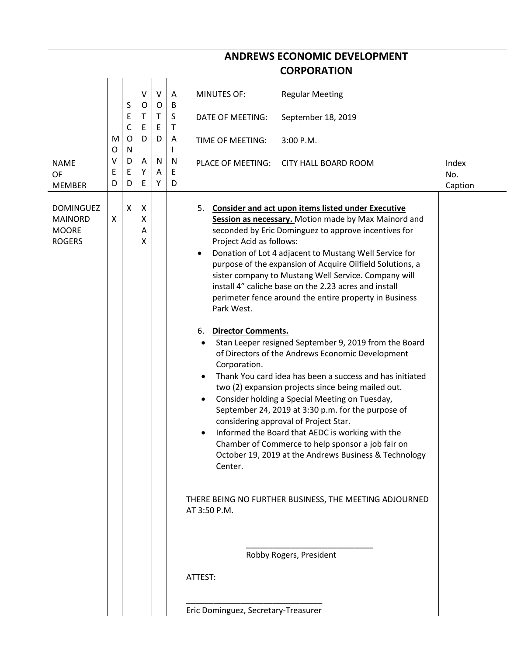|                                                                                                   |                                            | <b>ANDREWS ECONOMIC DEVELOPMENT</b>                                                                                                                                                                                                                                                                                                                                                                                                                                                                                                                                                                                                                                                                                                                                                                                                                                                                                                                                                                                                                                                                                                                                                                                                                                                                             |                         |
|---------------------------------------------------------------------------------------------------|--------------------------------------------|-----------------------------------------------------------------------------------------------------------------------------------------------------------------------------------------------------------------------------------------------------------------------------------------------------------------------------------------------------------------------------------------------------------------------------------------------------------------------------------------------------------------------------------------------------------------------------------------------------------------------------------------------------------------------------------------------------------------------------------------------------------------------------------------------------------------------------------------------------------------------------------------------------------------------------------------------------------------------------------------------------------------------------------------------------------------------------------------------------------------------------------------------------------------------------------------------------------------------------------------------------------------------------------------------------------------|-------------------------|
|                                                                                                   |                                            | <b>CORPORATION</b>                                                                                                                                                                                                                                                                                                                                                                                                                                                                                                                                                                                                                                                                                                                                                                                                                                                                                                                                                                                                                                                                                                                                                                                                                                                                                              |                         |
| V<br>S<br>Е<br>T.<br>C<br>E<br>O<br>M                                                             | $\mathsf{V}$<br>0<br>O<br>T<br>E<br>D<br>D | A<br><b>MINUTES OF:</b><br><b>Regular Meeting</b><br>B<br>S<br>DATE OF MEETING:<br>September 18, 2019<br>Τ<br>A<br>TIME OF MEETING:<br>3:00 P.M.                                                                                                                                                                                                                                                                                                                                                                                                                                                                                                                                                                                                                                                                                                                                                                                                                                                                                                                                                                                                                                                                                                                                                                |                         |
| O<br>N<br>v<br>D<br><b>NAME</b><br>Ε<br>E<br>Υ<br><b>OF</b><br>E<br>D<br>D<br><b>MEMBER</b>       | N<br>A<br>A<br>Y                           | L<br>N<br>PLACE OF MEETING:<br><b>CITY HALL BOARD ROOM</b><br>Ε<br>D                                                                                                                                                                                                                                                                                                                                                                                                                                                                                                                                                                                                                                                                                                                                                                                                                                                                                                                                                                                                                                                                                                                                                                                                                                            | Index<br>No.<br>Caption |
| <b>DOMINGUEZ</b><br>X<br>X<br>X<br><b>MAINORD</b><br>X<br><b>MOORE</b><br>A<br><b>ROGERS</b><br>X |                                            | <b>Consider and act upon items listed under Executive</b><br>5.<br>Session as necessary. Motion made by Max Mainord and<br>seconded by Eric Dominguez to approve incentives for<br>Project Acid as follows:<br>Donation of Lot 4 adjacent to Mustang Well Service for<br>$\bullet$<br>purpose of the expansion of Acquire Oilfield Solutions, a<br>sister company to Mustang Well Service. Company will<br>install 4" caliche base on the 2.23 acres and install<br>perimeter fence around the entire property in Business<br>Park West.<br><b>Director Comments.</b><br>6.<br>Stan Leeper resigned September 9, 2019 from the Board<br>of Directors of the Andrews Economic Development<br>Corporation.<br>Thank You card idea has been a success and has initiated<br>two (2) expansion projects since being mailed out.<br>Consider holding a Special Meeting on Tuesday,<br>September 24, 2019 at 3:30 p.m. for the purpose of<br>considering approval of Project Star.<br>Informed the Board that AEDC is working with the<br>Chamber of Commerce to help sponsor a job fair on<br>October 19, 2019 at the Andrews Business & Technology<br>Center.<br>THERE BEING NO FURTHER BUSINESS, THE MEETING ADJOURNED<br>AT 3:50 P.M.<br>Robby Rogers, President<br>ATTEST:<br>Eric Dominguez, Secretary-Treasurer |                         |